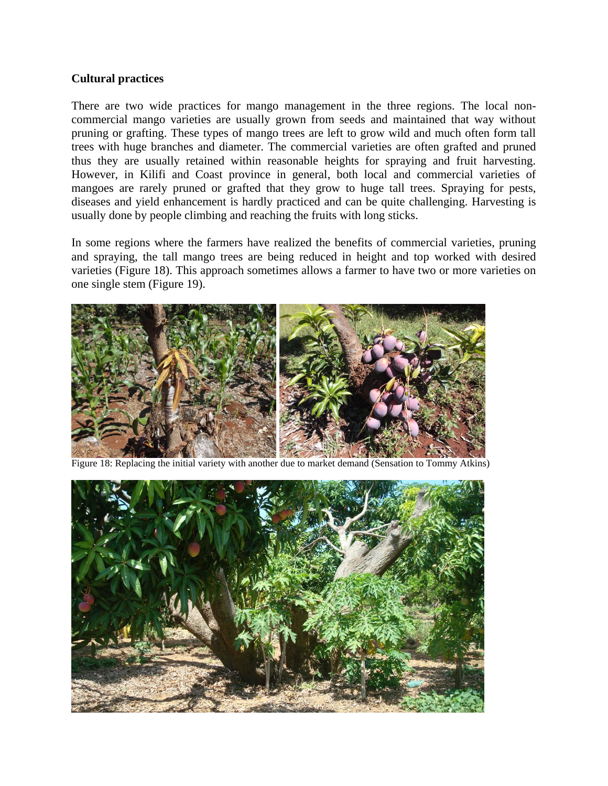## **Cultural practices**

There are two wide practices for mango management in the three regions. The local noncommercial mango varieties are usually grown from seeds and maintained that way without pruning or grafting. These types of mango trees are left to grow wild and much often form tall trees with huge branches and diameter. The commercial varieties are often grafted and pruned thus they are usually retained within reasonable heights for spraying and fruit harvesting. However, in Kilifi and Coast province in general, both local and commercial varieties of mangoes are rarely pruned or grafted that they grow to huge tall trees. Spraying for pests, diseases and yield enhancement is hardly practiced and can be quite challenging. Harvesting is usually done by people climbing and reaching the fruits with long sticks.

In some regions where the farmers have realized the benefits of commercial varieties, pruning and spraying, the tall mango trees are being reduced in height and top worked with desired varieties (Figure 18). This approach sometimes allows a farmer to have two or more varieties on one single stem (Figure 19).



Figure 18: Replacing the initial variety with another due to market demand (Sensation to Tommy Atkins)

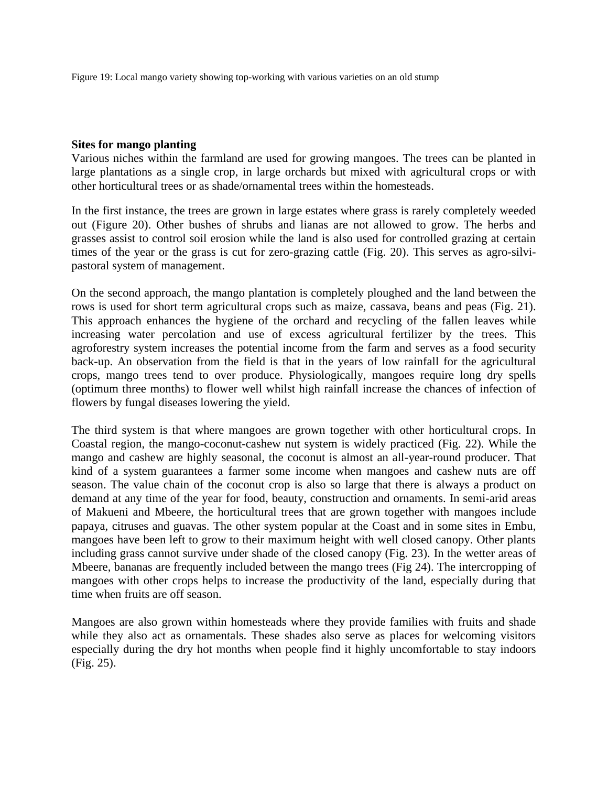Figure 19: Local mango variety showing top-working with various varieties on an old stump

## **Sites for mango planting**

Various niches within the farmland are used for growing mangoes. The trees can be planted in large plantations as a single crop, in large orchards but mixed with agricultural crops or with other horticultural trees or as shade/ornamental trees within the homesteads.

In the first instance, the trees are grown in large estates where grass is rarely completely weeded out (Figure 20). Other bushes of shrubs and lianas are not allowed to grow. The herbs and grasses assist to control soil erosion while the land is also used for controlled grazing at certain times of the year or the grass is cut for zero-grazing cattle (Fig. 20). This serves as agro-silvipastoral system of management.

On the second approach, the mango plantation is completely ploughed and the land between the rows is used for short term agricultural crops such as maize, cassava, beans and peas (Fig. 21). This approach enhances the hygiene of the orchard and recycling of the fallen leaves while increasing water percolation and use of excess agricultural fertilizer by the trees. This agroforestry system increases the potential income from the farm and serves as a food security back-up. An observation from the field is that in the years of low rainfall for the agricultural crops, mango trees tend to over produce. Physiologically, mangoes require long dry spells (optimum three months) to flower well whilst high rainfall increase the chances of infection of flowers by fungal diseases lowering the yield.

The third system is that where mangoes are grown together with other horticultural crops. In Coastal region, the mango-coconut-cashew nut system is widely practiced (Fig. 22). While the mango and cashew are highly seasonal, the coconut is almost an all-year-round producer. That kind of a system guarantees a farmer some income when mangoes and cashew nuts are off season. The value chain of the coconut crop is also so large that there is always a product on demand at any time of the year for food, beauty, construction and ornaments. In semi-arid areas of Makueni and Mbeere, the horticultural trees that are grown together with mangoes include papaya, citruses and guavas. The other system popular at the Coast and in some sites in Embu, mangoes have been left to grow to their maximum height with well closed canopy. Other plants including grass cannot survive under shade of the closed canopy (Fig. 23). In the wetter areas of Mbeere, bananas are frequently included between the mango trees (Fig 24). The intercropping of mangoes with other crops helps to increase the productivity of the land, especially during that time when fruits are off season.

Mangoes are also grown within homesteads where they provide families with fruits and shade while they also act as ornamentals. These shades also serve as places for welcoming visitors especially during the dry hot months when people find it highly uncomfortable to stay indoors (Fig. 25).